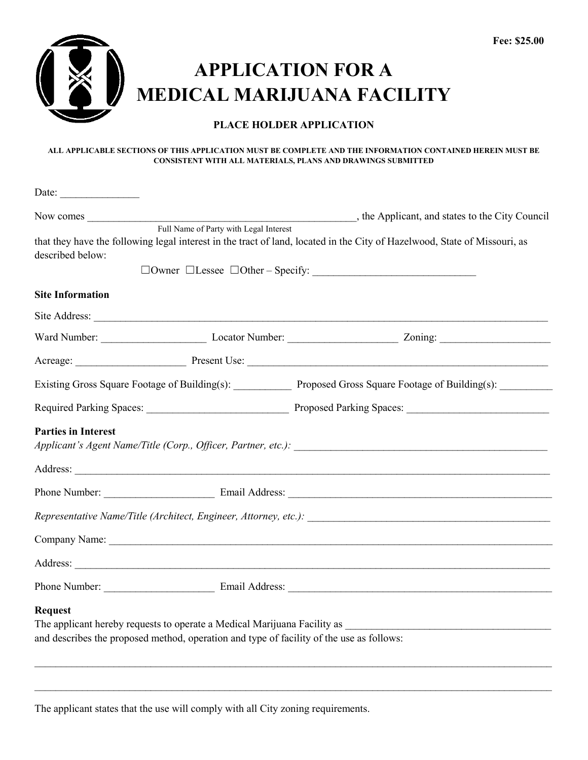

## **APPLICATION FOR A MEDICAL MARIJUANA FACILITY**

## **PLACE HOLDER APPLICATION**

## **ALL APPLICABLE SECTIONS OF THIS APPLICATION MUST BE COMPLETE AND THE INFORMATION CONTAINED HEREIN MUST BE CONSISTENT WITH ALL MATERIALS, PLANS AND DRAWINGS SUBMITTED**

| Date: $\qquad \qquad$      |                                                                                          |                                                                                                                           |
|----------------------------|------------------------------------------------------------------------------------------|---------------------------------------------------------------------------------------------------------------------------|
| Now comes                  | Full Name of Party with Legal Interest                                                   | , the Applicant, and states to the City Council                                                                           |
| described below:           |                                                                                          | that they have the following legal interest in the tract of land, located in the City of Hazelwood, State of Missouri, as |
| <b>Site Information</b>    |                                                                                          |                                                                                                                           |
|                            |                                                                                          |                                                                                                                           |
|                            |                                                                                          |                                                                                                                           |
|                            |                                                                                          |                                                                                                                           |
|                            |                                                                                          | Existing Gross Square Footage of Building(s): Proposed Gross Square Footage of Building(s): _______                       |
|                            |                                                                                          |                                                                                                                           |
| <b>Parties in Interest</b> |                                                                                          |                                                                                                                           |
|                            |                                                                                          |                                                                                                                           |
|                            |                                                                                          |                                                                                                                           |
|                            |                                                                                          |                                                                                                                           |
|                            |                                                                                          |                                                                                                                           |
|                            |                                                                                          |                                                                                                                           |
| <b>Request</b>             | and describes the proposed method, operation and type of facility of the use as follows: | The applicant hereby requests to operate a Medical Marijuana Facility as example and all the set of the set of            |

 $\_$  , and the set of the set of the set of the set of the set of the set of the set of the set of the set of the set of the set of the set of the set of the set of the set of the set of the set of the set of the set of th

The applicant states that the use will comply with all City zoning requirements.